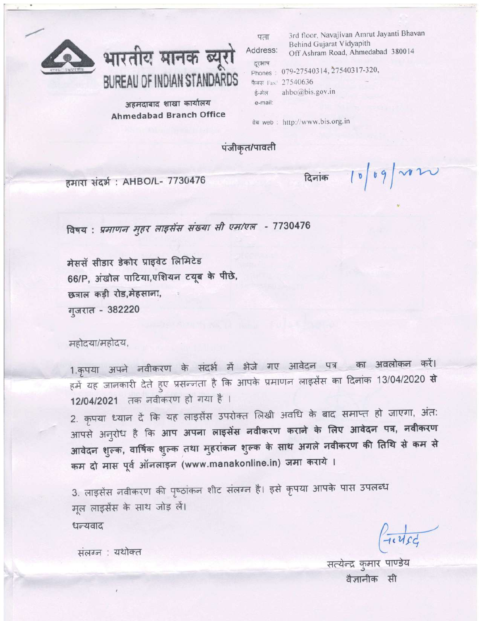

भारतीय मानक ब्यूरो BUREAU OF INDIAN STANDARDS

अहमदाबाद शाखा कार्यालय **Ahmedabad Branch Office** 

| पता     | 3rd floor, Navajivan Amrut Jayanti Bhay                       |  |  |
|---------|---------------------------------------------------------------|--|--|
| dress:  | Behind Gujarat Vidyapith<br>Off Ashram Road, Ahmedabad 380014 |  |  |
| रभाष    | nones: 079-27540314, 27540317-320,                            |  |  |
|         | FH Fax: 27540636                                              |  |  |
| न्मेल   | ahbo@bis.gov.in                                               |  |  |
| e-mail: |                                                               |  |  |

वेब web: http://www.bis.org.in

पंजीकृत/पावती

हमारा संदर्भ: AHBO/L- 7730476

दिनांक  $|b|b q$   $\sim$ 

Bhavan

विषय: प्रमाणन मुहर लाइसेंस संख्या सी एम/एल - 7730476

मेससॅ सीडार डेकोर प्राइवेट लिमिटेड 66/P, अंखोल पाटिया,एशियन टयूब के पीछे, छत्राल कड़ी रोड,मेहसाना, गुजरात - 382220

महोदया/महोदय,

1.कृपया अपने नवीकरण के संदर्भ में भेजे गए आवेदन पत्र का अवलोकन करें। हमें यह जानकारी देते हुए प्रसन्नता है कि आपके प्रमाणन लाइसेंस का दिनांक 13/04/2020 **से** 12/04/2021 तक नवीकरण हो गया है।

2. कृपया ध्यान दें कि यह लाइसेंस उपरोक्त लिखी अवधि के बाद समाप्त हो जाएगा, अंत: आपसे अनुरोध है कि आप अपना लाइसेंस नवीकरण कराने के लिए आवेदन पत्र, नवीकरण आवेदन शुल्क, वार्षिक शुल्क तथा मुहरांकन शुल्क के साथ अगले नवीकरण की तिथि से कम से कम दो मास पूर्व ऑनलाइन (www.manakonline.in) जमा कराये ।

3. लाइसेंस नवीकरण की पृष्ठांकन शीट संलग्न है। इसे कृपया आपके पास उपलब्ध मूल लाइसेंस के साथ जोड़ लें। धन्यवाद

 $4.4c_4$ 

सत्येन्द्र कुमार पाण्डेय वैज्ञानीक सी

संलग्न : यथोक्त